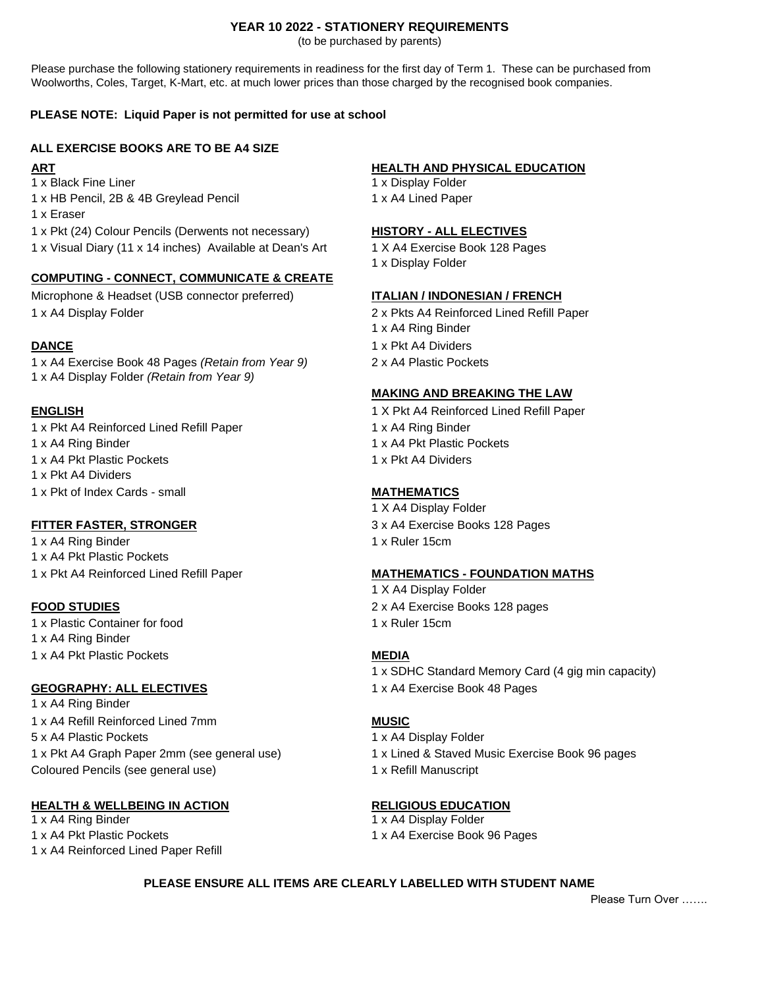### **YEAR 10 2022 - STATIONERY REQUIREMENTS**

(to be purchased by parents)

Please purchase the following stationery requirements in readiness for the first day of Term 1. These can be purchased from Woolworths, Coles, Target, K-Mart, etc. at much lower prices than those charged by the recognised book companies.

### **PLEASE NOTE: Liquid Paper is not permitted for use at school**

# **ALL EXERCISE BOOKS ARE TO BE A4 SIZE**

1 x Black Fine Liner 1 x Display Folder 1 x HB Pencil, 2B & 4B Greylead Pencil 1 x Eraser

1 x Pkt (24) Colour Pencils (Derwents not necessary) **HISTORY - ALL ELECTIVES** 1 x Visual Diary (11 x 14 inches) Available at Dean's Art

### **COMPUTING - CONNECT, COMMUNICATE & CREATE**

Microphone & Headset (USB connector preferred) **ITALIAN / INDONESIAN / FRENCH** 1 x A4 Display Folder 2 x Pkts A4 Reinforced Lined Refill Paper

1 x A4 Exercise Book 48 Pages *(Retain from Year 9)* 1 x A4 Display Folder *(Retain from Year 9)*

1 x Pkt A4 Reinforced Lined Refill Paper 1 x A4 Ring Binder 1 x A4 Ring Binder 1 x A4 Pkt Plastic Pockets 1 x A4 Pkt Plastic Pockets 1 x Pkt A4 Dividers 1 x Pkt of Index Cards - small **MATHEMATICS**

1 x A4 Ring Binder 1 x A4 Pkt Plastic Pockets

1 x Plastic Container for food 1 x A4 Ring Binder 1 x A4 Pkt Plastic Pockets **MEDIA**

# **GEOGRAPHY: ALL ELECTIVES**

1 x A4 Ring Binder 1 x A4 Refill Reinforced Lined 7mm **MUSIC** 5 x A4 Plastic Pockets 1 x A4 Display Folder Coloured Pencils (see general use) 1 x Refill Manuscript

### **HEALTH & WELLBEING IN ACTION RELIGIOUS EDUCATION**

1 x A4 Ring Binder 1 x A4 Display Folder 1 x A4 Pkt Plastic Pockets 1 x A4 Reinforced Lined Paper Refill

### **ART HEALTH AND PHYSICAL EDUCATION**

1 x A4 Lined Paper

1 X A4 Exercise Book 128 Pages 1 x Display Folder

- 
- 1 x A4 Ring Binder
- **DANCE** 1 x Pkt A4 Dividers
	- 2 x A4 Plastic Pockets

### **MAKING AND BREAKING THE LAW**

- **ENGLISH** 1 X Pkt A4 Reinforced Lined Refill Paper
	-
	-
	- 1 x Pkt A4 Dividers

1 X A4 Display Folder **FITTER FASTER, STRONGER** 3 x A4 Exercise Books 128 Pages 1 x Ruler 15cm

### 1 x Pkt A4 Reinforced Lined Refill Paper **MATHEMATICS - FOUNDATION MATHS**

1 X A4 Display Folder **FOOD STUDIES** 2 x A4 Exercise Books 128 pages 1 x Ruler 15cm

1 x SDHC Standard Memory Card (4 gig min capacity) 1 x A4 Exercise Book 48 Pages

- 
- 1 x Pkt A4 Graph Paper 2mm (see general use) 1 x Lined & Staved Music Exercise Book 96 pages
	-

1 x A4 Exercise Book 96 Pages

### **PLEASE ENSURE ALL ITEMS ARE CLEARLY LABELLED WITH STUDENT NAME**

Please Turn Over …….